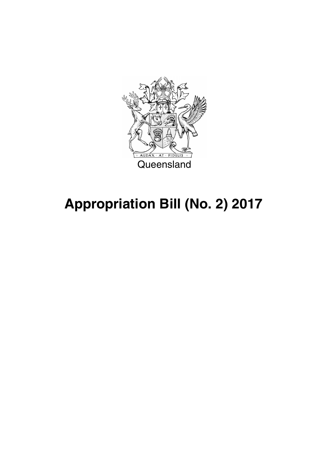

# **Appropriation Bill (No. 2) 2017**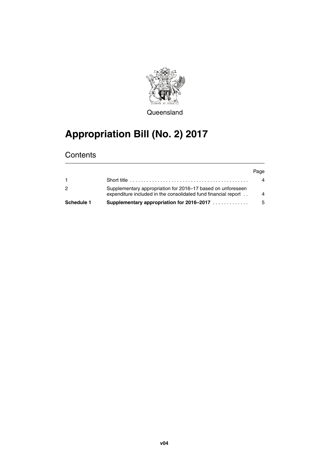

**Queensland** 

## **Appropriation Bill (No. 2) 2017**

## **Contents**

|            |                                                                                                                               | Page           |
|------------|-------------------------------------------------------------------------------------------------------------------------------|----------------|
|            |                                                                                                                               | 4              |
| 2          | Supplementary appropriation for 2016–17 based on unforeseen<br>expenditure included in the consolidated fund financial report | $\overline{A}$ |
| Schedule 1 | Supplementary appropriation for 2016–2017                                                                                     | - 5            |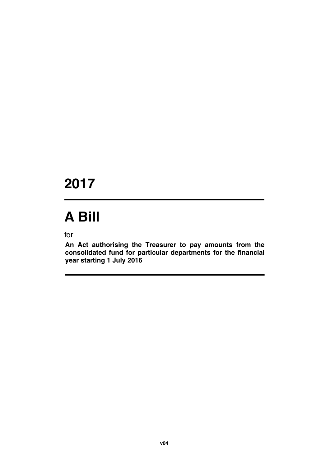## **2017**

# **A Bill**

for

**An Act authorising the Treasurer to pay amounts from the consolidated fund for particular departments for the financial year starting 1 July 2016**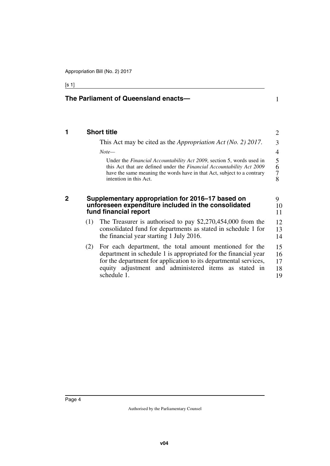## [s 1]

<span id="page-5-3"></span><span id="page-5-2"></span><span id="page-5-1"></span><span id="page-5-0"></span>

|             |     | The Parliament of Queensland enacts-                                                                                                                                                                                                                                   |                               |
|-------------|-----|------------------------------------------------------------------------------------------------------------------------------------------------------------------------------------------------------------------------------------------------------------------------|-------------------------------|
| 1           |     | <b>Short title</b>                                                                                                                                                                                                                                                     | 2                             |
|             |     | This Act may be cited as the <i>Appropriation Act</i> ( <i>No. 2</i> ) 2017.                                                                                                                                                                                           | 3                             |
|             |     | $Note-$                                                                                                                                                                                                                                                                | 4                             |
|             |     | Under the <i>Financial Accountability Act 2009</i> , section 5, words used in<br>this Act that are defined under the Financial Accountability Act 2009<br>have the same meaning the words have in that Act, subject to a contrary<br>intention in this Act.            | 5<br>6<br>$\overline{7}$<br>8 |
| $\mathbf 2$ |     | Supplementary appropriation for 2016–17 based on<br>unforeseen expenditure included in the consolidated<br>fund financial report                                                                                                                                       | 9<br>10<br>11                 |
|             | (1) | The Treasurer is authorised to pay $$2,270,454,000$ from the<br>consolidated fund for departments as stated in schedule 1 for<br>the financial year starting 1 July 2016.                                                                                              | 12<br>13<br>14                |
|             | (2) | For each department, the total amount mentioned for the<br>department in schedule 1 is appropriated for the financial year<br>for the department for application to its departmental services,<br>equity adjustment and administered items as stated in<br>schedule 1. | 15<br>16<br>17<br>18<br>19    |

<u> 1989 - Johann Barn, mars ann an t-Alban ann an t-Alban ann an t-Alban ann an t-Alban ann an t-Alban ann an t-</u>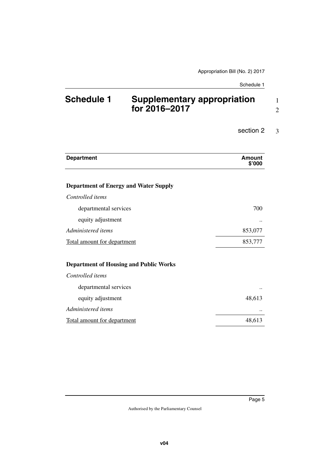1 2

#### section 2 3

| <b>Department</b>                             | Amount<br>\$'000 |
|-----------------------------------------------|------------------|
| <b>Department of Energy and Water Supply</b>  |                  |
| Controlled <i>items</i>                       |                  |
| departmental services                         | 700              |
| equity adjustment                             |                  |
| Administered items                            | 853,077          |
| Total amount for department                   | 853,777          |
| <b>Department of Housing and Public Works</b> |                  |
| Controlled items                              |                  |
| departmental services                         |                  |
| equity adjustment                             | 48,613           |
| Administered items                            |                  |
| <b>Total amount for department</b>            | 48,613           |

<span id="page-6-1"></span><span id="page-6-0"></span>**Schedule 1 Supplementary appropriation for 2016–2017**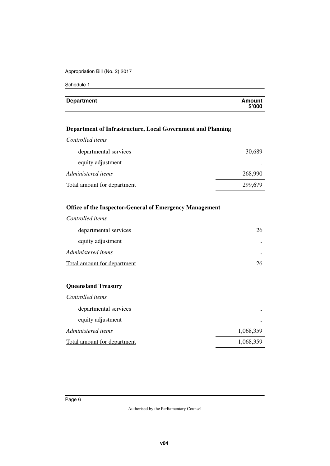Appropriation Bill (No. 2) 2017

Schedule 1

| <b>Department</b> | Amount<br>\$'000 |
|-------------------|------------------|
|                   |                  |

## **Department of Infrastructure, Local Government and Planning**

| Controlled items                   |         |
|------------------------------------|---------|
| departmental services              | 30,689  |
| equity adjustment                  | $\cdot$ |
| Administered items                 | 268,990 |
| <b>Total amount for department</b> | 299,679 |

### **Office of the Inspector-General of Emergency Management**

| Controlled items            |           |
|-----------------------------|-----------|
| departmental services       | 26        |
| equity adjustment           | $\cdot$ . |
| Administered items          | $\cdot$ . |
| Total amount for department | 26        |

## **Queensland Treasury**

| Controlled items                   |           |
|------------------------------------|-----------|
| departmental services              | $\cdot$   |
| equity adjustment                  | $\cdot$   |
| Administered items                 | 1,068,359 |
| <b>Total amount for department</b> | 1,068,359 |